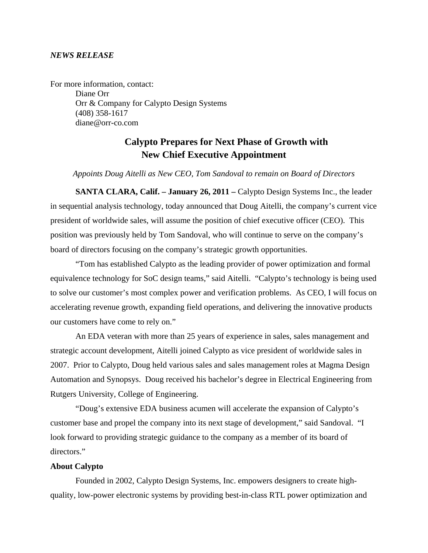## *NEWS RELEASE*

For more information, contact: Diane Orr Orr & Company for Calypto Design Systems (408) 358-1617 diane@orr-co.com

## **Calypto Prepares for Next Phase of Growth with New Chief Executive Appointment**

## *Appoints Doug Aitelli as New CEO, Tom Sandoval to remain on Board of Directors*

**SANTA CLARA, Calif. – January 26, 2011 – Calypto Design Systems Inc., the leader** in sequential analysis technology, today announced that Doug Aitelli, the company's current vice president of worldwide sales, will assume the position of chief executive officer (CEO). This position was previously held by Tom Sandoval, who will continue to serve on the company's board of directors focusing on the company's strategic growth opportunities.

 "Tom has established Calypto as the leading provider of power optimization and formal equivalence technology for SoC design teams," said Aitelli. "Calypto's technology is being used to solve our customer's most complex power and verification problems. As CEO, I will focus on accelerating revenue growth, expanding field operations, and delivering the innovative products our customers have come to rely on."

An EDA veteran with more than 25 years of experience in sales, sales management and strategic account development, Aitelli joined Calypto as vice president of worldwide sales in 2007. Prior to Calypto, Doug held various sales and sales management roles at Magma Design Automation and Synopsys. Doug received his bachelor's degree in Electrical Engineering from Rutgers University, College of Engineering.

"Doug's extensive EDA business acumen will accelerate the expansion of Calypto's customer base and propel the company into its next stage of development," said Sandoval. "I look forward to providing strategic guidance to the company as a member of its board of directors."

## **About Calypto**

Founded in 2002, Calypto Design Systems, Inc. empowers designers to create highquality, low-power electronic systems by providing best-in-class RTL power optimization and